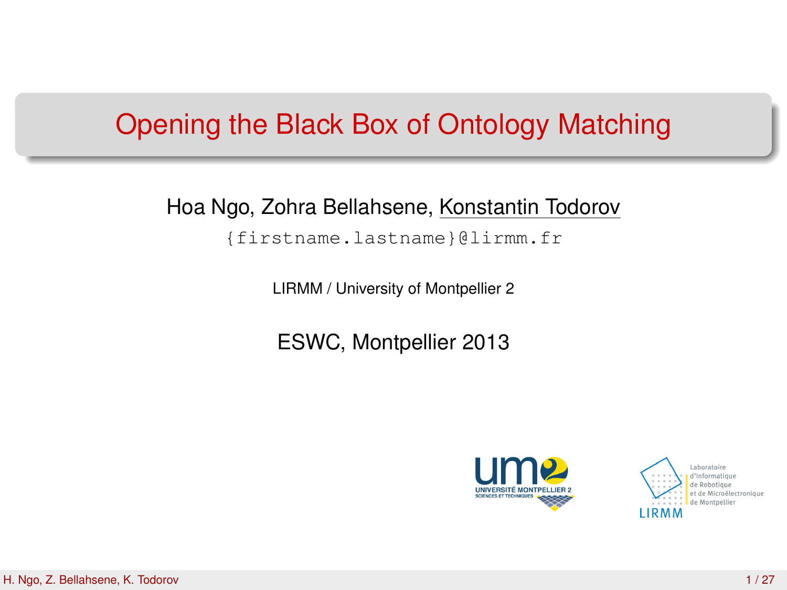## Opening the Black Box of Ontology Matching

### Hoa Ngo, Zohra Bellahsene, Konstantin Todorov

{firstname.lastname}@lirmm.fr

LIRMM / University of Montpellier 2

ESWC, Montpellier 2013



<span id="page-0-0"></span>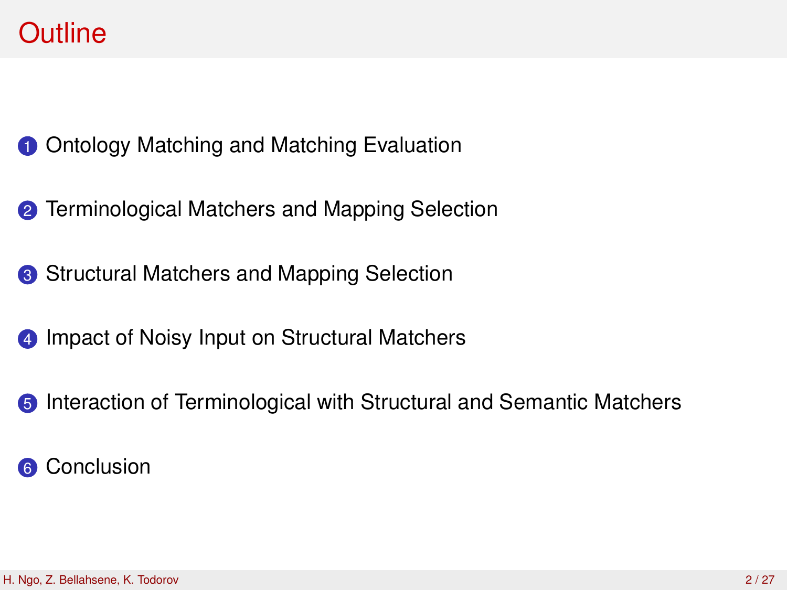## **Outline**

[Ontology Matching and Matching Evaluation](#page-2-0)

- [Terminological Matchers and Mapping Selection](#page-7-0)
- <sup>3</sup> [Structural Matchers and Mapping Selection](#page-11-0)
- [Impact of Noisy Input on Structural Matchers](#page-15-0)
- [Interaction of Terminological with Structural and Semantic Matchers](#page-19-0)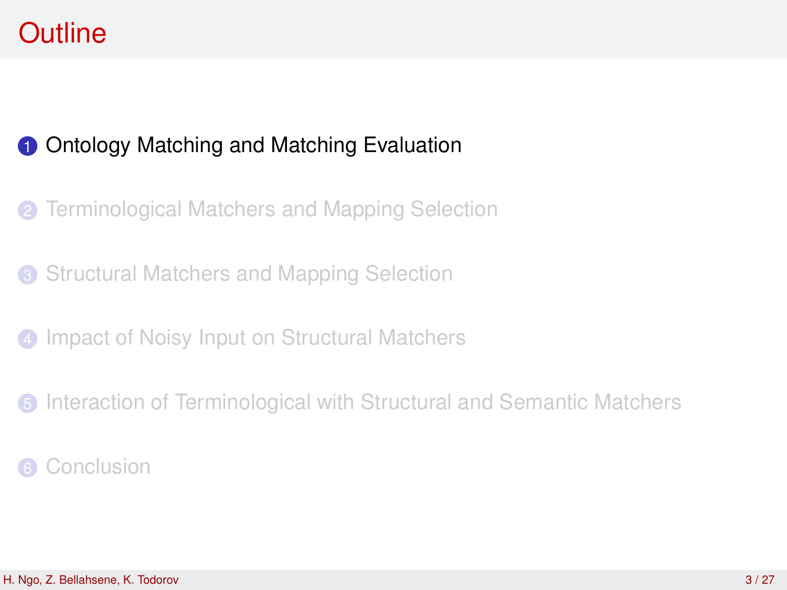## **Outline**

### **1** [Ontology Matching and Matching Evaluation](#page-2-0)

- **2** [Terminological Matchers and Mapping Selection](#page-7-0)
- <sup>3</sup> [Structural Matchers and Mapping Selection](#page-11-0)
- **4** [Impact of Noisy Input on Structural Matchers](#page-15-0)
- **6** [Interaction of Terminological with Structural and Semantic Matchers](#page-19-0)
- <span id="page-2-0"></span>**[Conclusion](#page-24-0)**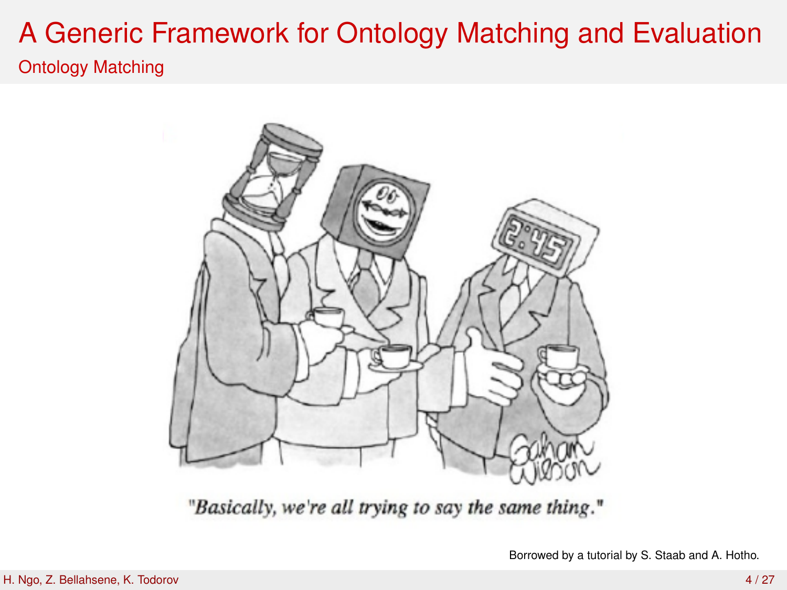### Ontology Matching



"Basically, we're all trying to say the same thing."

Borrowed by a tutorial by S. Staab and A. Hotho.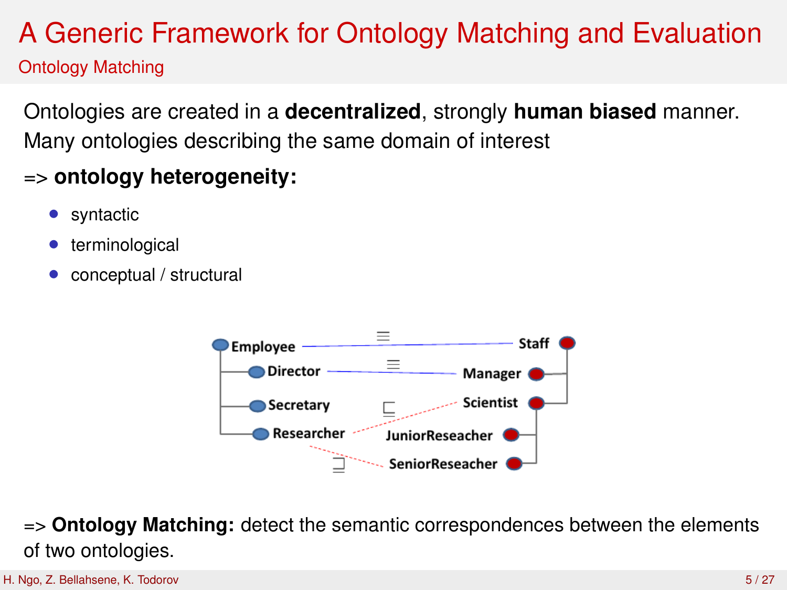### Ontology Matching

Ontologies are created in a **decentralized**, strongly **human biased** manner. Many ontologies describing the same domain of interest

### => **ontology heterogeneity:**

- syntactic
- terminological
- conceptual / structural



=> **Ontology Matching:** detect the semantic correspondences between the elements of two ontologies.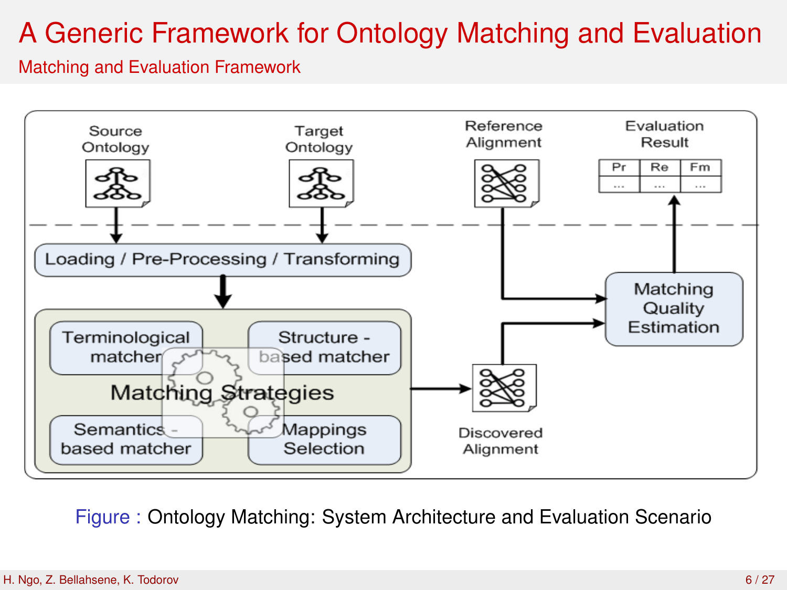#### Matching and Evaluation Framework



Figure : Ontology Matching: System Architecture and Evaluation Scenario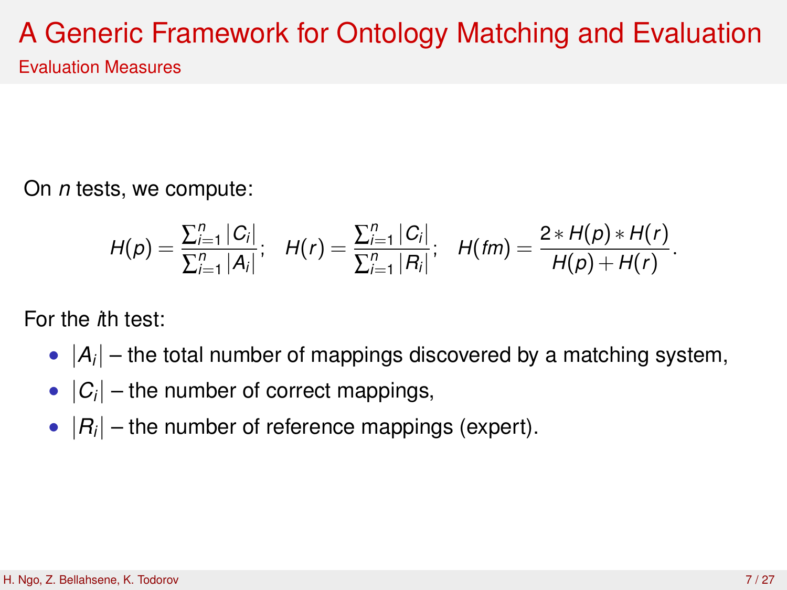Evaluation Measures

On *n* tests, we compute:

$$
H(p) = \frac{\sum_{i=1}^{n} |C_i|}{\sum_{i=1}^{n} |A_i|}; \quad H(r) = \frac{\sum_{i=1}^{n} |C_i|}{\sum_{i=1}^{n} |R_i|}; \quad H(fm) = \frac{2 * H(p) * H(r)}{H(p) + H(r)}.
$$

For the *i*th test:

- $|A_i|$  the total number of mappings discovered by a matching system,
- $|C_i|$  the number of correct mappings,
- $|R_i|$  the number of reference mappings (expert).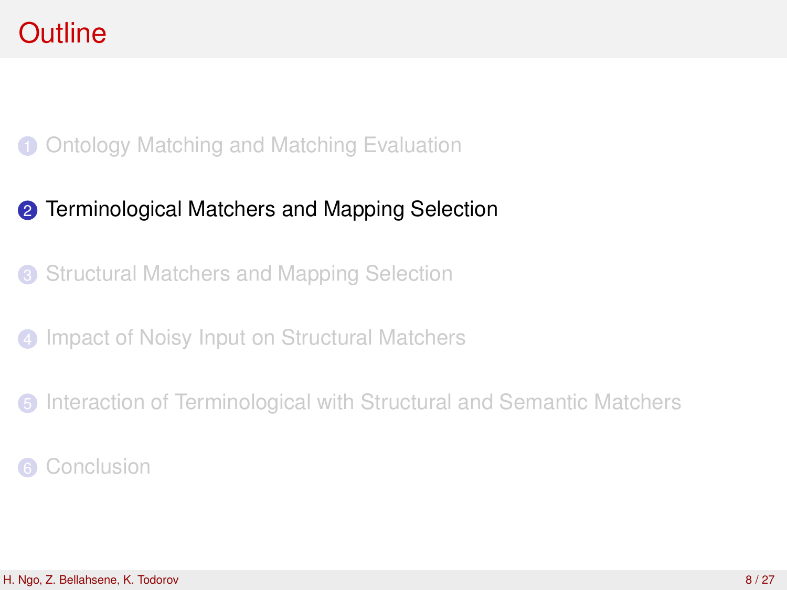### 1 [Ontology Matching and Matching Evaluation](#page-2-0)

### **2** [Terminological Matchers and Mapping Selection](#page-7-0)

<sup>3</sup> [Structural Matchers and Mapping Selection](#page-11-0)

**4** [Impact of Noisy Input on Structural Matchers](#page-15-0)

<span id="page-7-0"></span>**6** [Interaction of Terminological with Structural and Semantic Matchers](#page-19-0)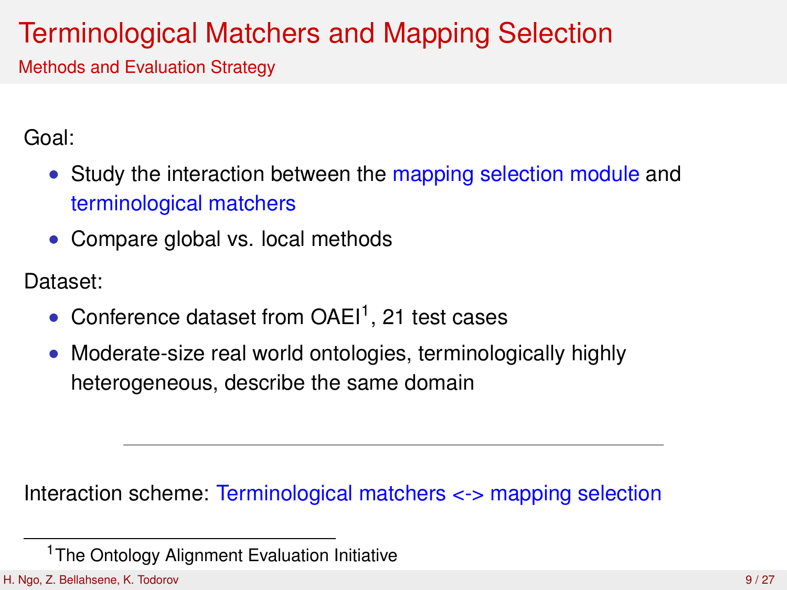# Terminological Matchers and Mapping Selection

Methods and Evaluation Strategy

Goal:

- Study the interaction between the mapping selection module and terminological matchers
- Compare global vs. local methods

Dataset:

- Conference dataset from  $OAE1^1$ , 21 test cases
- Moderate-size real world ontologies, terminologically highly heterogeneous, describe the same domain

Interaction scheme: Terminological matchers <-> mapping selection

<sup>&</sup>lt;sup>1</sup>The Ontology Alignment Evaluation Initiative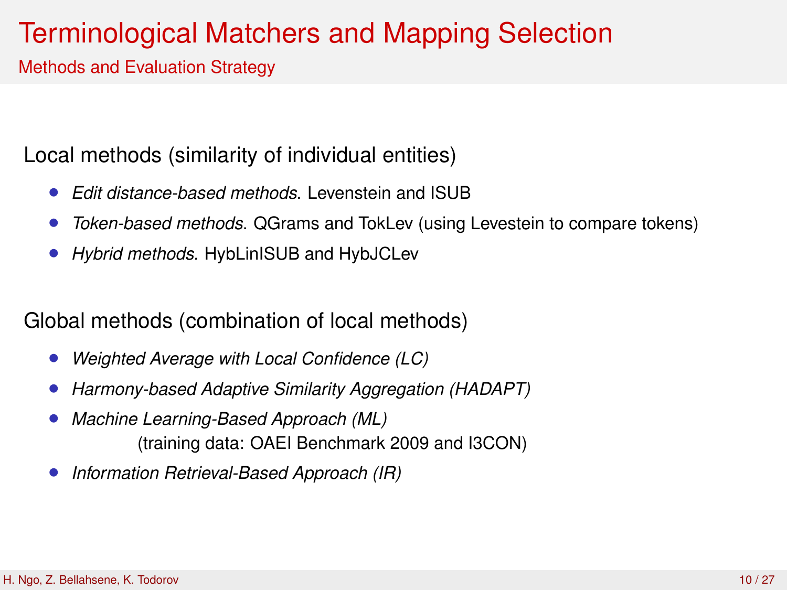## Terminological Matchers and Mapping Selection

Methods and Evaluation Strategy

Local methods (similarity of individual entities)

- *Edit distance-based methods*. Levenstein and ISUB
- *Token-based methods*. QGrams and TokLev (using Levestein to compare tokens)
- *Hybrid methods.* HybLinISUB and HybJCLev

Global methods (combination of local methods)

- *Weighted Average with Local Confidence (LC)*
- *Harmony-based Adaptive Similarity Aggregation (HADAPT)*
- *Machine Learning-Based Approach (ML)* (training data: OAEI Benchmark 2009 and I3CON)
- *Information Retrieval-Based Approach (IR)*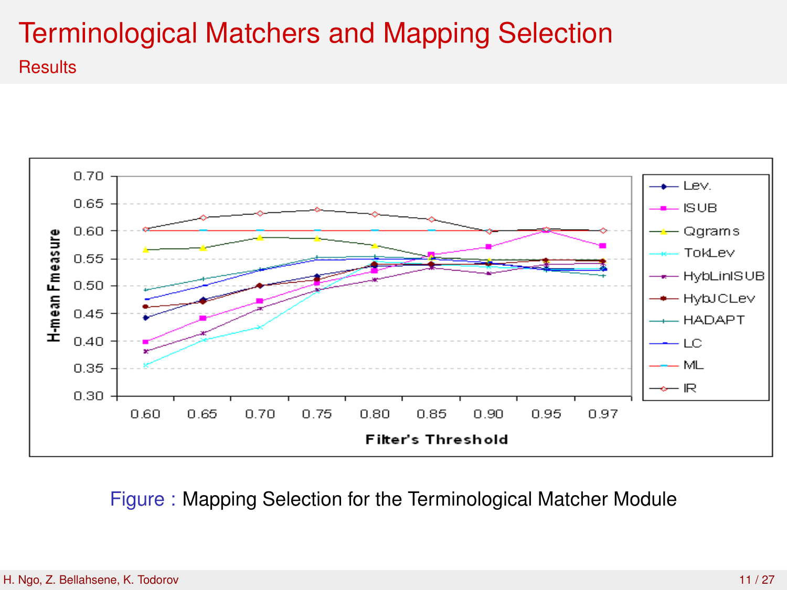## Terminological Matchers and Mapping Selection **Results**



Figure : Mapping Selection for the Terminological Matcher Module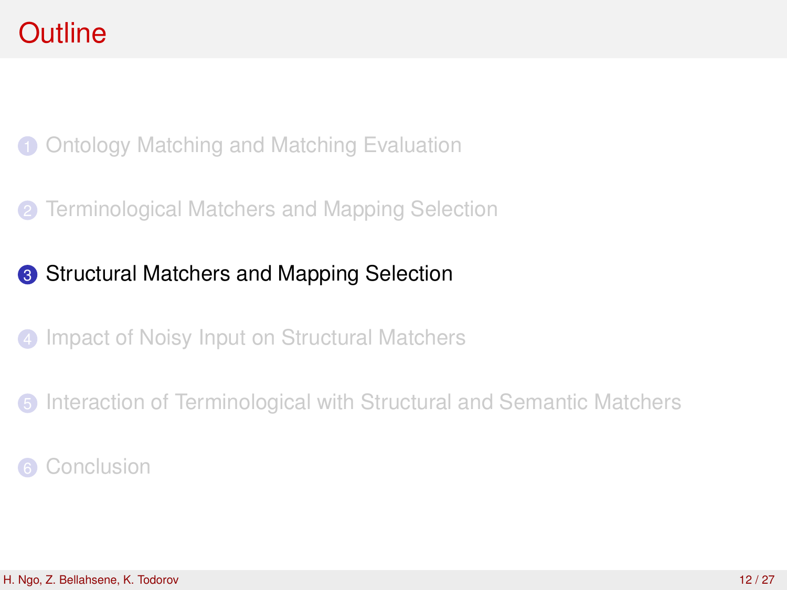1 [Ontology Matching and Matching Evaluation](#page-2-0)

**2** [Terminological Matchers and Mapping Selection](#page-7-0)

### <sup>3</sup> [Structural Matchers and Mapping Selection](#page-11-0)

**4** [Impact of Noisy Input on Structural Matchers](#page-15-0)

<span id="page-11-0"></span>**6** [Interaction of Terminological with Structural and Semantic Matchers](#page-19-0)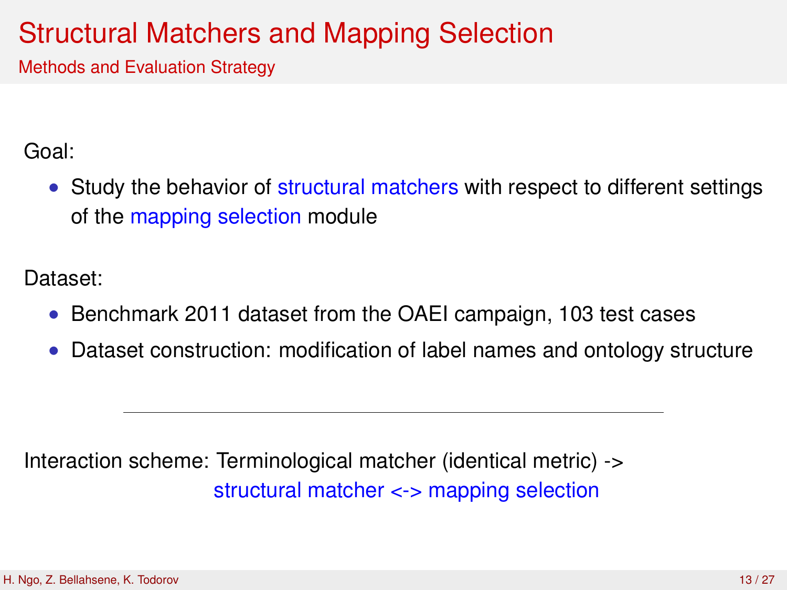## Structural Matchers and Mapping Selection

Methods and Evaluation Strategy

Goal:

• Study the behavior of structural matchers with respect to different settings of the mapping selection module

Dataset:

- Benchmark 2011 dataset from the OAEI campaign, 103 test cases
- Dataset construction: modification of label names and ontology structure

Interaction scheme: Terminological matcher (identical metric) -> structural matcher <-> mapping selection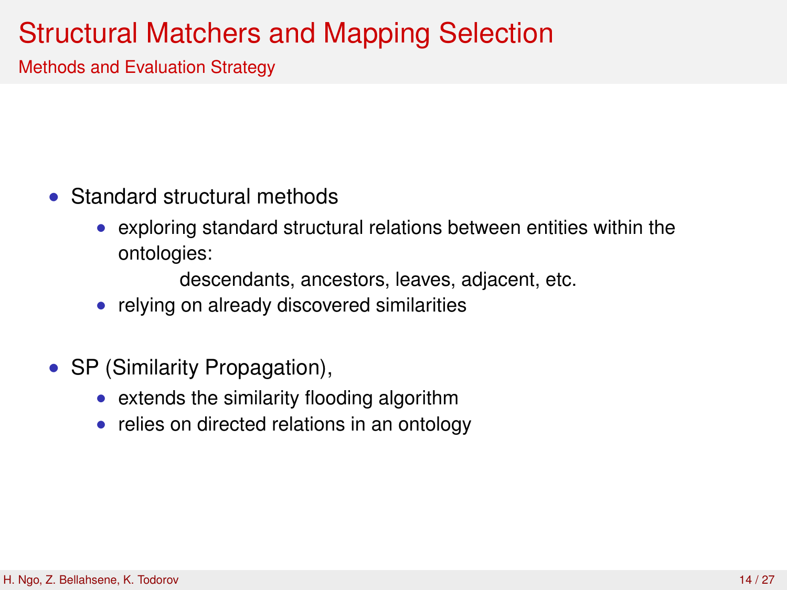## Structural Matchers and Mapping Selection

Methods and Evaluation Strategy

- Standard structural methods
	- exploring standard structural relations between entities within the ontologies:

descendants, ancestors, leaves, adjacent, etc.

- relying on already discovered similarities
- SP (Similarity Propagation),
	- extends the similarity flooding algorithm
	- relies on directed relations in an ontology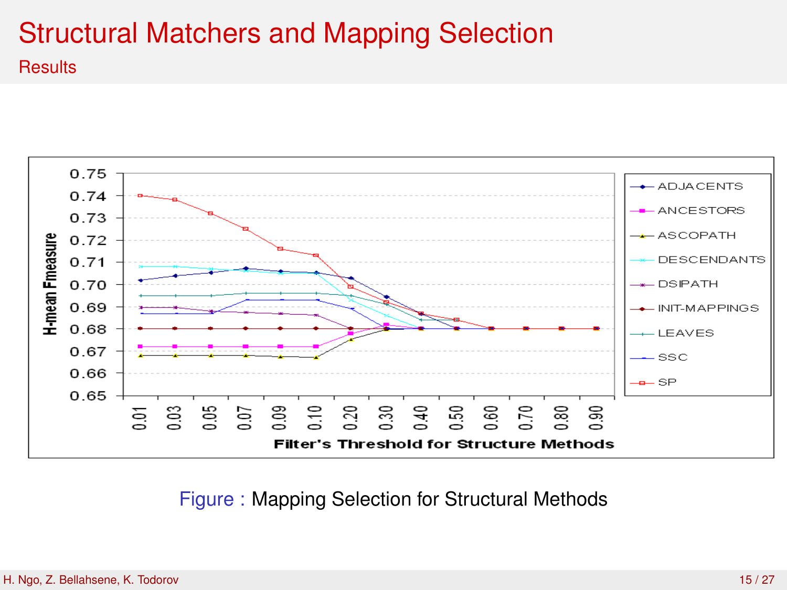# Structural Matchers and Mapping Selection

**Results** 



Figure : Mapping Selection for Structural Methods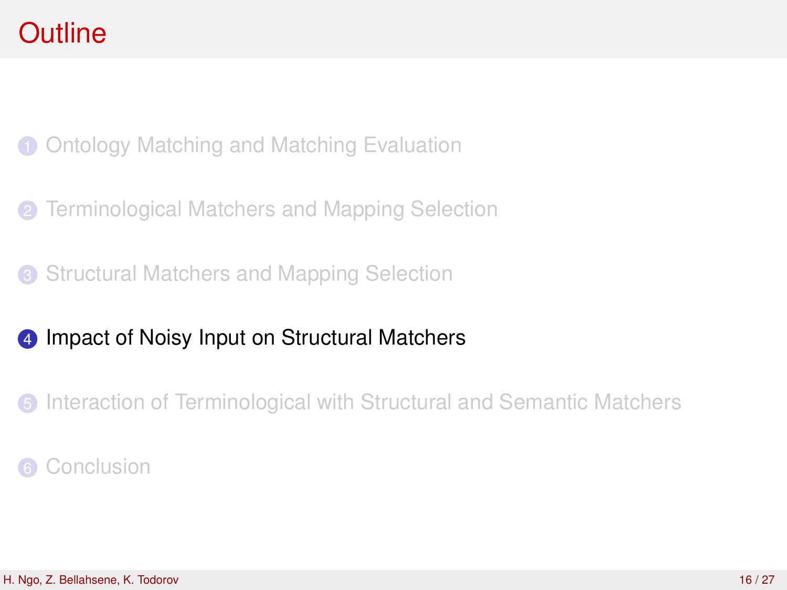1 [Ontology Matching and Matching Evaluation](#page-2-0)

**2** [Terminological Matchers and Mapping Selection](#page-7-0)

<sup>3</sup> [Structural Matchers and Mapping Selection](#page-11-0)

### 4 [Impact of Noisy Input on Structural Matchers](#page-15-0)

<span id="page-15-0"></span>**6** [Interaction of Terminological with Structural and Semantic Matchers](#page-19-0)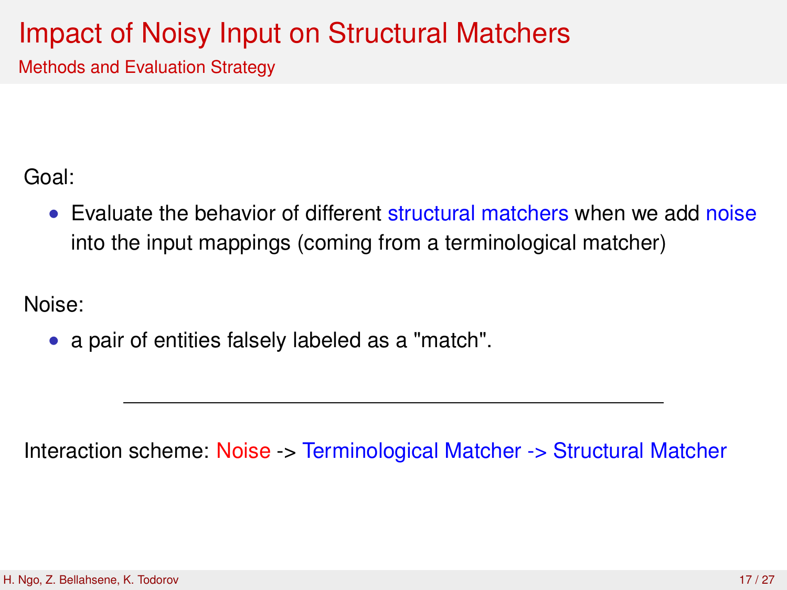## Impact of Noisy Input on Structural Matchers

Methods and Evaluation Strategy

Goal:

• Evaluate the behavior of different structural matchers when we add noise into the input mappings (coming from a terminological matcher)

Noise:

• a pair of entities falsely labeled as a "match".

Interaction scheme: Noise -> Terminological Matcher -> Structural Matcher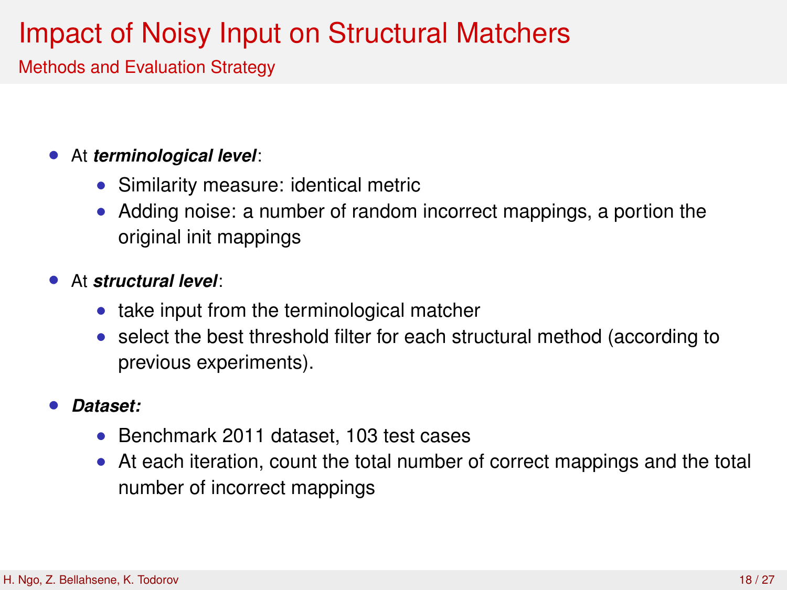# Impact of Noisy Input on Structural Matchers

Methods and Evaluation Strategy

### • At *terminological level*:

- Similarity measure: identical metric
- Adding noise: a number of random incorrect mappings, a portion the original init mappings

### • At *structural level*:

- take input from the terminological matcher
- select the best threshold filter for each structural method (according to previous experiments).

#### • *Dataset:*

- Benchmark 2011 dataset, 103 test cases
- At each iteration, count the total number of correct mappings and the total number of incorrect mappings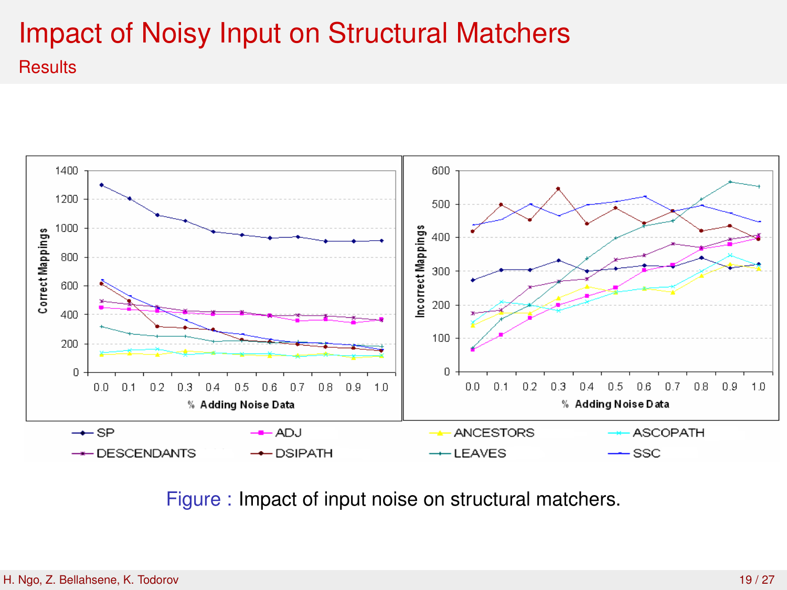## Impact of Noisy Input on Structural Matchers **Results**



Figure : Impact of input noise on structural matchers.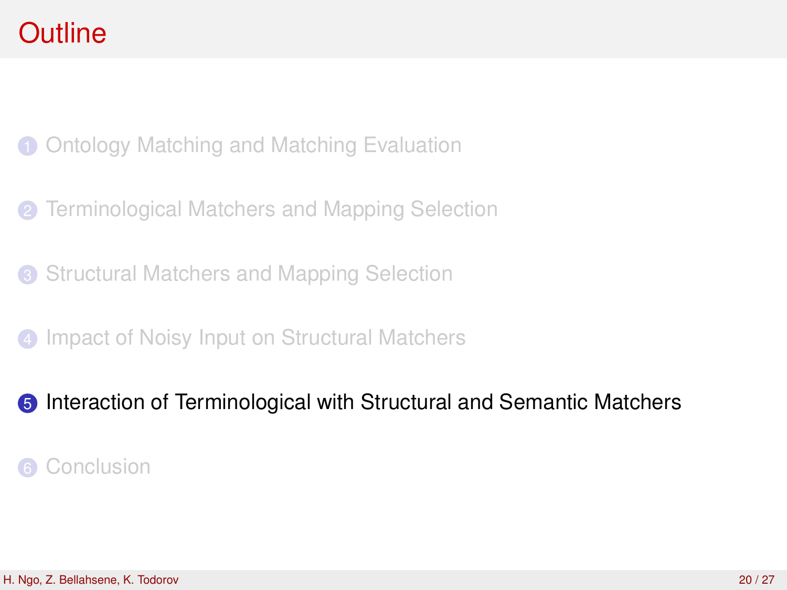1 [Ontology Matching and Matching Evaluation](#page-2-0)

- **2** [Terminological Matchers and Mapping Selection](#page-7-0)
- <sup>3</sup> [Structural Matchers and Mapping Selection](#page-11-0)
- **4** [Impact of Noisy Input on Structural Matchers](#page-15-0)

### <span id="page-19-0"></span>**6** [Interaction of Terminological with Structural and Semantic Matchers](#page-19-0)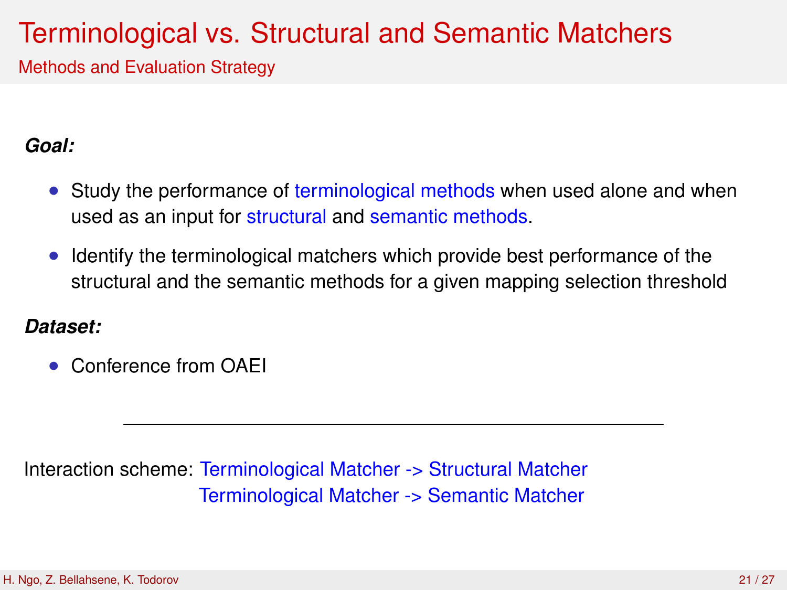## Terminological vs. Structural and Semantic Matchers

Methods and Evaluation Strategy

### *Goal:*

- Study the performance of terminological methods when used alone and when used as an input for structural and semantic methods.
- Identify the terminological matchers which provide best performance of the structural and the semantic methods for a given mapping selection threshold

### *Dataset:*

• Conference from OAEI

Interaction scheme: Terminological Matcher -> Structural Matcher Terminological Matcher -> Semantic Matcher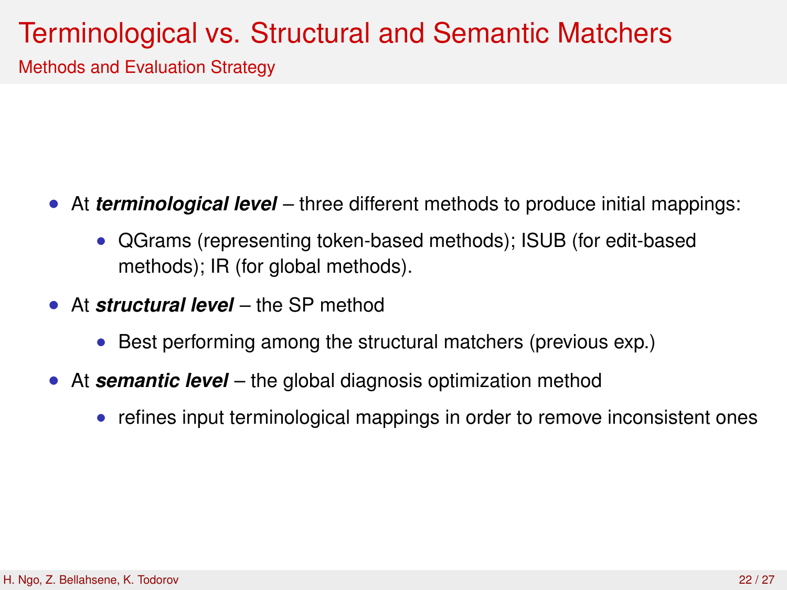## Terminological vs. Structural and Semantic Matchers

Methods and Evaluation Strategy

- At *terminological level* three different methods to produce initial mappings:
	- QGrams (representing token-based methods); ISUB (for edit-based methods); IR (for global methods).
- At *structural level* the SP method
	- Best performing among the structural matchers (previous exp.)
- At *semantic level* the global diagnosis optimization method
	- refines input terminological mappings in order to remove inconsistent ones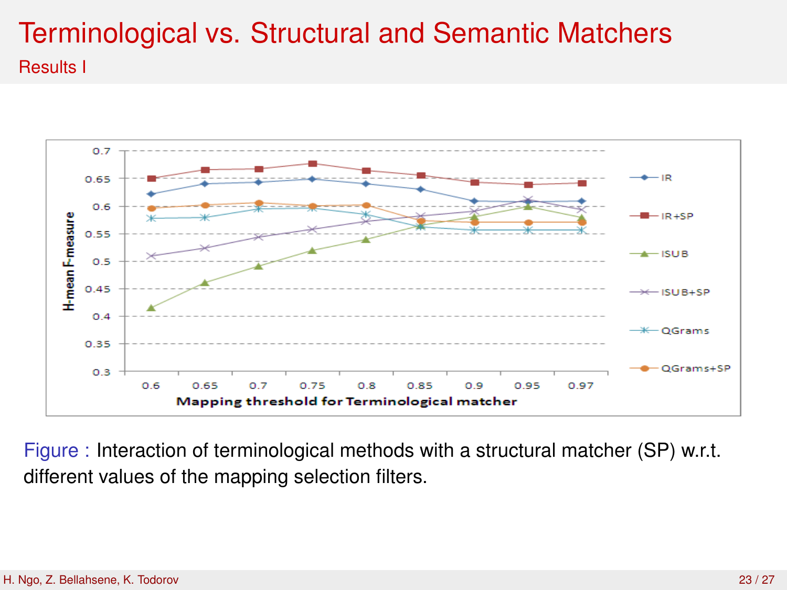### Terminological vs. Structural and Semantic Matchers Results I



Figure : Interaction of terminological methods with a structural matcher (SP) w.r.t. different values of the mapping selection filters.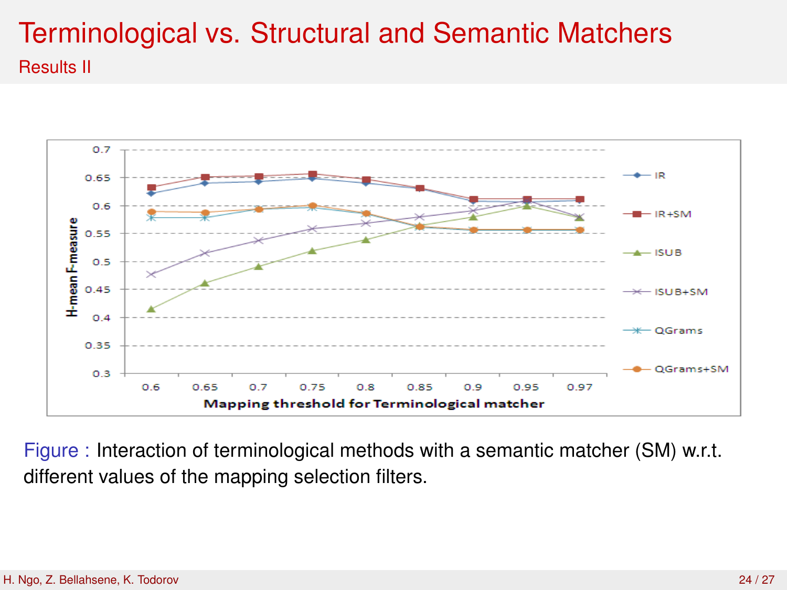### Terminological vs. Structural and Semantic Matchers Results II



Figure : Interaction of terminological methods with a semantic matcher (SM) w.r.t. different values of the mapping selection filters.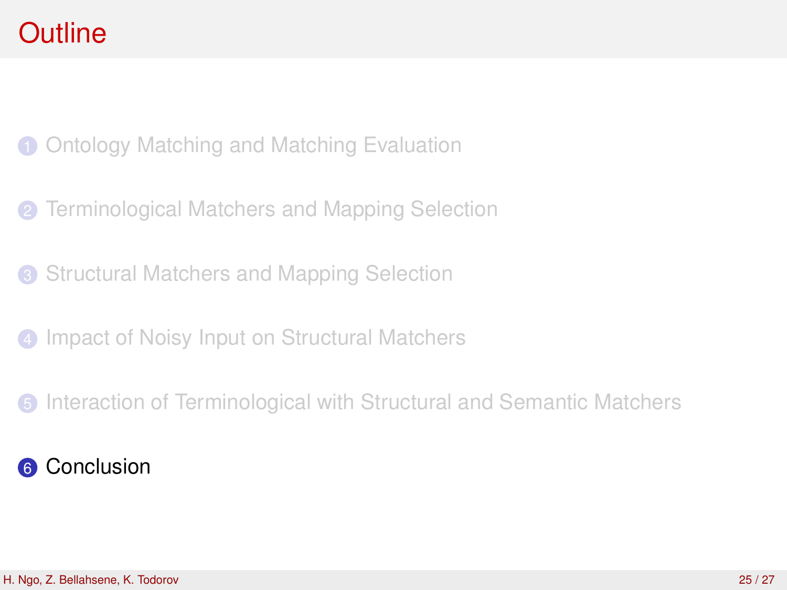[Ontology Matching and Matching Evaluation](#page-2-0)

- [Terminological Matchers and Mapping Selection](#page-7-0)
- <sup>3</sup> [Structural Matchers and Mapping Selection](#page-11-0)
- [Impact of Noisy Input on Structural Matchers](#page-15-0)
- <span id="page-24-0"></span>[Interaction of Terminological with Structural and Semantic Matchers](#page-19-0)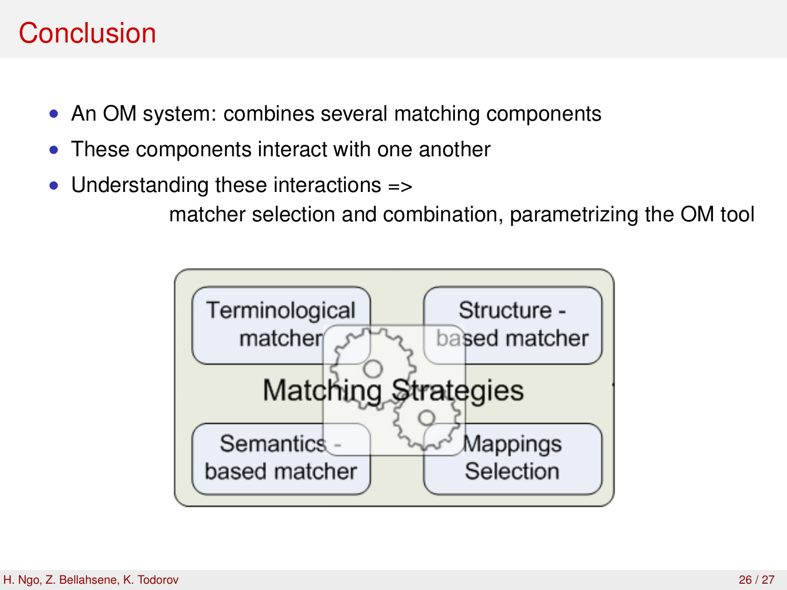## Conclusion

- An OM system: combines several matching components
- These components interact with one another
- Understanding these interactions =>

matcher selection and combination, parametrizing the OM tool